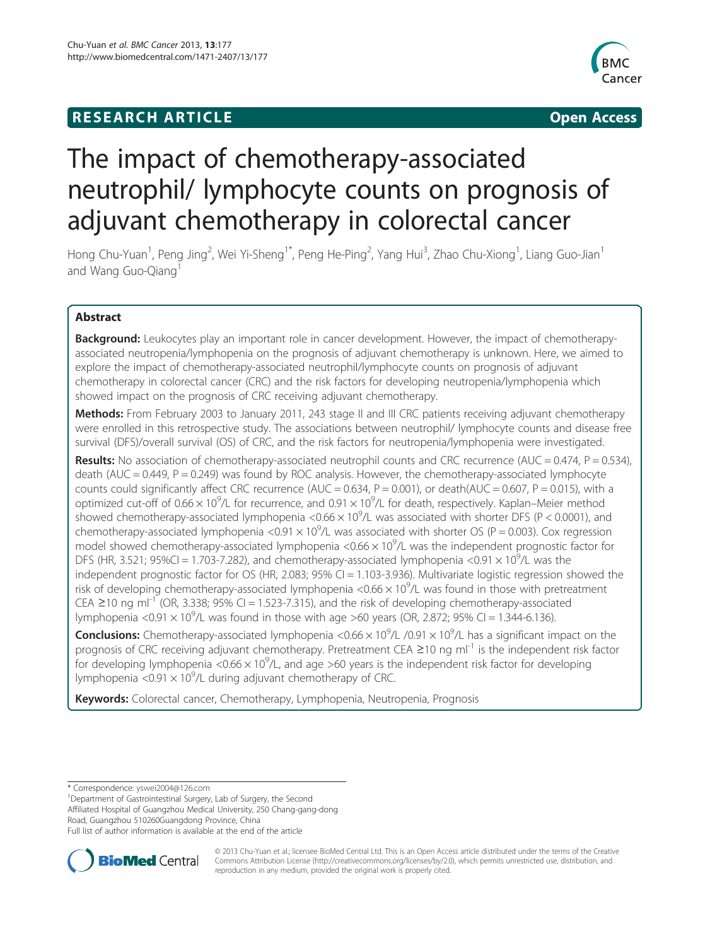## **RESEARCH ARTICLE Example 2014 12:30 The SEAR CHA RESEARCH ARTICLE**



# The impact of chemotherapy-associated neutrophil/ lymphocyte counts on prognosis of adjuvant chemotherapy in colorectal cancer

Hong Chu-Yuan<sup>1</sup>, Peng Jing<sup>2</sup>, Wei Yi-Sheng<sup>1\*</sup>, Peng He-Ping<sup>2</sup>, Yang Hui<sup>3</sup>, Zhao Chu-Xiong<sup>1</sup>, Liang Guo-Jian<sup>1</sup> and Wang Guo-Qiang<sup>1</sup>

## Abstract

**Background:** Leukocytes play an important role in cancer development. However, the impact of chemotherapyassociated neutropenia/lymphopenia on the prognosis of adjuvant chemotherapy is unknown. Here, we aimed to explore the impact of chemotherapy-associated neutrophil/lymphocyte counts on prognosis of adjuvant chemotherapy in colorectal cancer (CRC) and the risk factors for developing neutropenia/lymphopenia which showed impact on the prognosis of CRC receiving adjuvant chemotherapy.

Methods: From February 2003 to January 2011, 243 stage II and III CRC patients receiving adjuvant chemotherapy were enrolled in this retrospective study. The associations between neutrophil/ lymphocyte counts and disease free survival (DFS)/overall survival (OS) of CRC, and the risk factors for neutropenia/lymphopenia were investigated.

**Results:** No association of chemotherapy-associated neutrophil counts and CRC recurrence (AUC = 0.474, P = 0.534), death (AUC = 0.449, P = 0.249) was found by ROC analysis. However, the chemotherapy-associated lymphocyte counts could significantly affect CRC recurrence (AUC =  $0.634$ , P =  $0.001$ ), or death(AUC =  $0.607$ , P =  $0.015$ ), with a optimized cut-off of 0.66  $\times$  10<sup>9</sup>/L for recurrence, and 0.91  $\times$  10<sup>9</sup>/L for death, respectively. Kaplan–Meier method showed chemotherapy-associated lymphopenia <0.66  $\times$  10<sup>9</sup>/L was associated with shorter DFS (P < 0.0001), and chemotherapy-associated lymphopenia <0.91  $\times$  10<sup>9</sup>/L was associated with shorter OS (P = 0.003). Cox regression model showed chemotherapy-associated lymphopenia <0.66  $\times$  10<sup>9</sup>/L was the independent prognostic factor for DFS (HR, 3.521; 95%CI = 1.703-7.282), and chemotherapy-associated lymphopenia <0.91  $\times$  10<sup>9</sup>/L was the independent prognostic factor for OS (HR, 2.083; 95% CI = 1.103-3.936). Multivariate logistic regression showed the risk of developing chemotherapy-associated lymphopenia <0.66  $\times$  10<sup>9</sup>/L was found in those with pretreatment CEA ≥10 ng ml<sup>-1</sup> (OR, 3.338; 95% CI = 1.523-7.315), and the risk of developing chemotherapy-associated lymphopenia <0.91  $\times$  10<sup>9</sup>/L was found in those with age >60 years (OR, 2.872; 95% CI = 1.344-6.136).

Conclusions: Chemotherapy-associated lymphopenia <0.66 x 10<sup>9</sup>/L /0.91 x 10<sup>9</sup>/L has a significant impact on the prognosis of CRC receiving adjuvant chemotherapy. Pretreatment CEA ≥10 ng ml<sup>-1</sup> is the independent risk factor for developing lymphopenia <0.66  $\times$  10<sup>9</sup>/L, and age >60 years is the independent risk factor for developing lymphopenia <0.91  $\times$  10<sup>9</sup>/L during adjuvant chemotherapy of CRC.

Keywords: Colorectal cancer, Chemotherapy, Lymphopenia, Neutropenia, Prognosis

\* Correspondence: [yswei2004@126.com](mailto:yswei2004@126.com) <sup>1</sup>

Department of Gastrointestinal Surgery, Lab of Surgery, the Second Affiliated Hospital of Guangzhou Medical University, 250 Chang-gang-dong Road, Guangzhou 510260Guangdong Province, China Full list of author information is available at the end of the article



© 2013 Chu-Yuan et al.; licensee BioMed Central Ltd. This is an Open Access article distributed under the terms of the Creative Commons Attribution License [\(http://creativecommons.org/licenses/by/2.0\)](http://creativecommons.org/licenses/by/2.0), which permits unrestricted use, distribution, and reproduction in any medium, provided the original work is properly cited.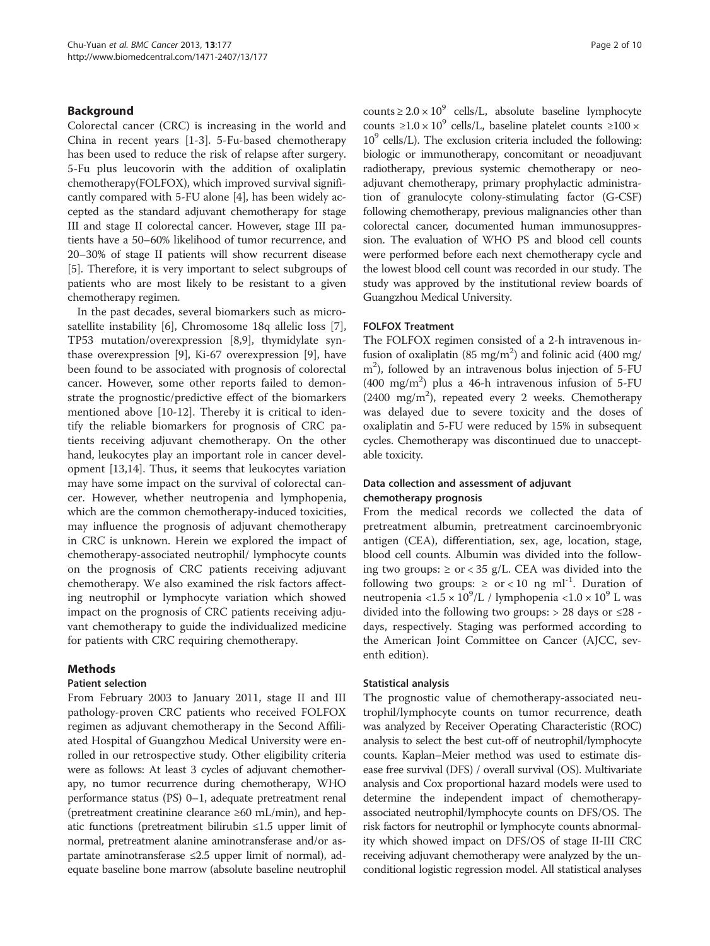### **Background**

Colorectal cancer (CRC) is increasing in the world and China in recent years [\[1](#page-8-0)-[3\]](#page-8-0). 5-Fu-based chemotherapy has been used to reduce the risk of relapse after surgery. 5-Fu plus leucovorin with the addition of oxaliplatin chemotherapy(FOLFOX), which improved survival significantly compared with 5-FU alone [\[4](#page-8-0)], has been widely accepted as the standard adjuvant chemotherapy for stage III and stage II colorectal cancer. However, stage III patients have a 50–60% likelihood of tumor recurrence, and 20–30% of stage II patients will show recurrent disease [[5\]](#page-8-0). Therefore, it is very important to select subgroups of patients who are most likely to be resistant to a given chemotherapy regimen.

In the past decades, several biomarkers such as microsatellite instability [\[6](#page-8-0)], Chromosome 18q allelic loss [\[7](#page-8-0)], TP53 mutation/overexpression [[8,9\]](#page-8-0), thymidylate synthase overexpression [[9](#page-8-0)], Ki-67 overexpression [[9\]](#page-8-0), have been found to be associated with prognosis of colorectal cancer. However, some other reports failed to demonstrate the prognostic/predictive effect of the biomarkers mentioned above [\[10](#page-8-0)-[12](#page-8-0)]. Thereby it is critical to identify the reliable biomarkers for prognosis of CRC patients receiving adjuvant chemotherapy. On the other hand, leukocytes play an important role in cancer development [[13,14\]](#page-8-0). Thus, it seems that leukocytes variation may have some impact on the survival of colorectal cancer. However, whether neutropenia and lymphopenia, which are the common chemotherapy-induced toxicities, may influence the prognosis of adjuvant chemotherapy in CRC is unknown. Herein we explored the impact of chemotherapy-associated neutrophil/ lymphocyte counts on the prognosis of CRC patients receiving adjuvant chemotherapy. We also examined the risk factors affecting neutrophil or lymphocyte variation which showed impact on the prognosis of CRC patients receiving adjuvant chemotherapy to guide the individualized medicine for patients with CRC requiring chemotherapy.

#### Methods

#### Patient selection

From February 2003 to January 2011, stage II and III pathology-proven CRC patients who received FOLFOX regimen as adjuvant chemotherapy in the Second Affiliated Hospital of Guangzhou Medical University were enrolled in our retrospective study. Other eligibility criteria were as follows: At least 3 cycles of adjuvant chemotherapy, no tumor recurrence during chemotherapy, WHO performance status (PS) 0–1, adequate pretreatment renal (pretreatment creatinine clearance ≥60 mL/min), and hepatic functions (pretreatment bilirubin ≤1.5 upper limit of normal, pretreatment alanine aminotransferase and/or aspartate aminotransferase  $\leq 2.5$  upper limit of normal), adequate baseline bone marrow (absolute baseline neutrophil counts  $\geq 2.0 \times 10^9$  cells/L, absolute baseline lymphocyte counts  $\geq 1.0 \times 10^9$  cells/L, baseline platelet counts  $\geq 100 \times$  $10<sup>9</sup>$  cells/L). The exclusion criteria included the following: biologic or immunotherapy, concomitant or neoadjuvant radiotherapy, previous systemic chemotherapy or neoadjuvant chemotherapy, primary prophylactic administration of granulocyte colony-stimulating factor (G-CSF) following chemotherapy, previous malignancies other than colorectal cancer, documented human immunosuppression. The evaluation of WHO PS and blood cell counts were performed before each next chemotherapy cycle and the lowest blood cell count was recorded in our study. The study was approved by the institutional review boards of Guangzhou Medical University.

#### FOLFOX Treatment

The FOLFOX regimen consisted of a 2-h intravenous infusion of oxaliplatin (85 mg/m<sup>2</sup>) and folinic acid (400 mg/ m2 ), followed by an intravenous bolus injection of 5-FU (400 mg/m2 ) plus a 46-h intravenous infusion of 5-FU (2400 mg/m<sup>2</sup>), repeated every 2 weeks. Chemotherapy was delayed due to severe toxicity and the doses of oxaliplatin and 5-FU were reduced by 15% in subsequent cycles. Chemotherapy was discontinued due to unacceptable toxicity.

#### Data collection and assessment of adjuvant chemotherapy prognosis

From the medical records we collected the data of pretreatment albumin, pretreatment carcinoembryonic antigen (CEA), differentiation, sex, age, location, stage, blood cell counts. Albumin was divided into the following two groups:  $\ge$  or < 35 g/L. CEA was divided into the following two groups:  $\ge$  or < 10 ng ml<sup>-1</sup>. Duration of neutropenia <1.5  $\times$  10<sup>9</sup>/L / lymphopenia <1.0  $\times$  10<sup>9</sup> L was divided into the following two groups:  $> 28$  days or  $\leq 28$  days, respectively. Staging was performed according to the American Joint Committee on Cancer (AJCC, seventh edition).

#### Statistical analysis

The prognostic value of chemotherapy-associated neutrophil/lymphocyte counts on tumor recurrence, death was analyzed by Receiver Operating Characteristic (ROC) analysis to select the best cut-off of neutrophil/lymphocyte counts. Kaplan–Meier method was used to estimate disease free survival (DFS) / overall survival (OS). Multivariate analysis and Cox proportional hazard models were used to determine the independent impact of chemotherapyassociated neutrophil/lymphocyte counts on DFS/OS. The risk factors for neutrophil or lymphocyte counts abnormality which showed impact on DFS/OS of stage II-III CRC receiving adjuvant chemotherapy were analyzed by the unconditional logistic regression model. All statistical analyses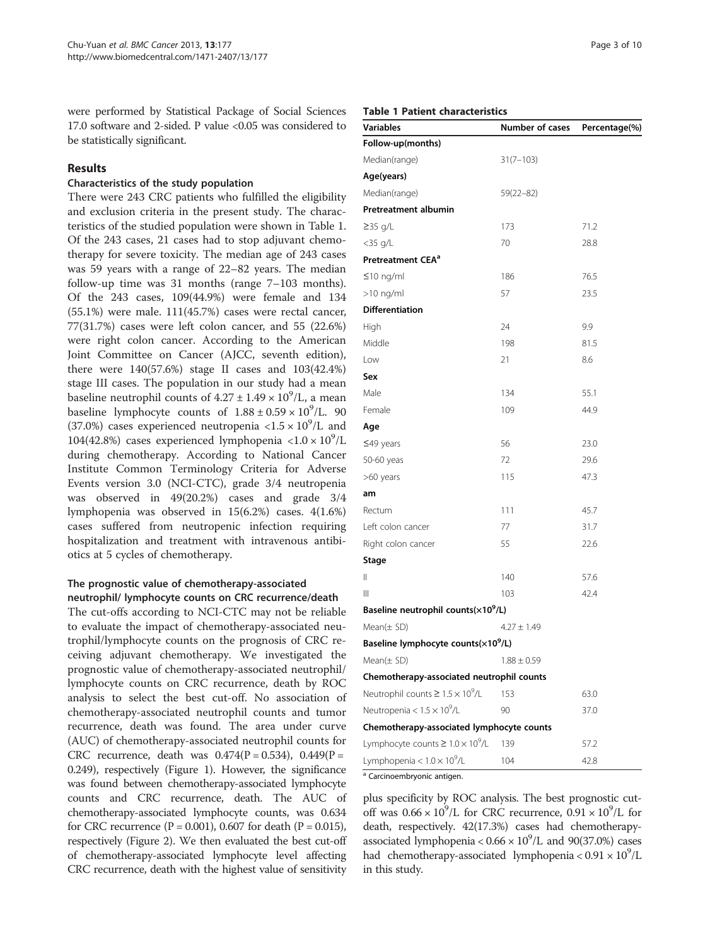were performed by Statistical Package of Social Sciences 17.0 software and 2-sided. P value <0.05 was considered to be statistically significant.

## Results

#### Characteristics of the study population

There were 243 CRC patients who fulfilled the eligibility and exclusion criteria in the present study. The characteristics of the studied population were shown in Table 1. Of the 243 cases, 21 cases had to stop adjuvant chemotherapy for severe toxicity. The median age of 243 cases was 59 years with a range of 22–82 years. The median follow-up time was 31 months (range 7–103 months). Of the 243 cases, 109(44.9%) were female and 134 (55.1%) were male. 111(45.7%) cases were rectal cancer, 77(31.7%) cases were left colon cancer, and 55 (22.6%) were right colon cancer. According to the American Joint Committee on Cancer (AJCC, seventh edition), there were 140(57.6%) stage II cases and 103(42.4%) stage III cases. The population in our study had a mean baseline neutrophil counts of  $4.27 \pm 1.49 \times 10^9$ /L, a mean baseline lymphocyte counts of  $1.88 \pm 0.59 \times 10^9$ /L. 90 (37.0%) cases experienced neutropenia <1.5  $\times$  10<sup>9</sup>/L and 104(42.8%) cases experienced lymphopenia <1.0  $\times$  10<sup>9</sup>/L during chemotherapy. According to National Cancer Institute Common Terminology Criteria for Adverse Events version 3.0 (NCI-CTC), grade 3/4 neutropenia was observed in 49(20.2%) cases and grade 3/4 lymphopenia was observed in 15(6.2%) cases. 4(1.6%) cases suffered from neutropenic infection requiring hospitalization and treatment with intravenous antibiotics at 5 cycles of chemotherapy.

### The prognostic value of chemotherapy-associated neutrophil/ lymphocyte counts on CRC recurrence/death

The cut-offs according to NCI-CTC may not be reliable to evaluate the impact of chemotherapy-associated neutrophil/lymphocyte counts on the prognosis of CRC receiving adjuvant chemotherapy. We investigated the prognostic value of chemotherapy-associated neutrophil/ lymphocyte counts on CRC recurrence, death by ROC analysis to select the best cut-off. No association of chemotherapy-associated neutrophil counts and tumor recurrence, death was found. The area under curve (AUC) of chemotherapy-associated neutrophil counts for CRC recurrence, death was  $0.474(P = 0.534)$ ,  $0.449(P =$ 0.249), respectively (Figure [1\)](#page-3-0). However, the significance was found between chemotherapy-associated lymphocyte counts and CRC recurrence, death. The AUC of chemotherapy-associated lymphocyte counts, was 0.634 for CRC recurrence ( $P = 0.001$ ), 0.607 for death ( $P = 0.015$ ), respectively (Figure [2\)](#page-3-0). We then evaluated the best cut-off of chemotherapy-associated lymphocyte level affecting CRC recurrence, death with the highest value of sensitivity

#### Table 1 Patient characteristics

| <b>Variables</b>                                | Number of cases | Percentage(%) |
|-------------------------------------------------|-----------------|---------------|
| Follow-up(months)                               |                 |               |
| Median(range)                                   | $31(7-103)$     |               |
| Age(years)                                      |                 |               |
| Median(range)                                   | 59(22-82)       |               |
| Pretreatment albumin                            |                 |               |
| $\geq$ 35 g/L                                   | 173             | 71.2          |
| <35 g/L                                         | 70              | 28.8          |
| Pretreatment CEA <sup>a</sup>                   |                 |               |
| $≤10$ ng/ml                                     | 186             | 76.5          |
| $>10$ ng/ml                                     | 57              | 23.5          |
| <b>Differentiation</b>                          |                 |               |
| High                                            | 24              | 9.9           |
| Middle                                          | 198             | 81.5          |
| Low                                             | 21              | 8.6           |
| Sex                                             |                 |               |
| Male                                            | 134             | 55.1          |
| Female                                          | 109             | 44.9          |
| Age                                             |                 |               |
| $\leq$ 49 years                                 | 56              | 23.0          |
| 50-60 yeas                                      | 72              | 29.6          |
| >60 years                                       | 115             | 47.3          |
| am                                              |                 |               |
| Rectum                                          | 111             | 45.7          |
| Left colon cancer                               | 77              | 31.7          |
| Right colon cancer                              | 55              | 22.6          |
| <b>Stage</b>                                    |                 |               |
| Ш                                               | 140             | 57.6          |
| Ш                                               | 103             | 42.4          |
| Baseline neutrophil counts(×10 <sup>9</sup> /L) |                 |               |
| Mean $(\pm$ SD)                                 | $4.27 + 1.49$   |               |
| Baseline lymphocyte counts(×10 <sup>9</sup> /L) |                 |               |
| $Mean(\pm SD)$                                  | $1.88 \pm 0.59$ |               |
| Chemotherapy-associated neutrophil counts       |                 |               |
| Neutrophil counts $\geq 1.5 \times 10^9$ /L     | 153             | 63.0          |
| Neutropenia < $1.5 \times 10^9$ /L              | 90              | 37.0          |
| Chemotherapy-associated lymphocyte counts       |                 |               |
| Lymphocyte counts $\geq 1.0 \times 10^9$ /L     | 139             | 57.2          |
| Lymphopenia < $1.0 \times 10^9$ /L              | 104             | 42.8          |

<sup>a</sup> Carcinoembryonic antigen.

plus specificity by ROC analysis. The best prognostic cutoff was  $0.66 \times 10^9$ /L for CRC recurrence,  $0.91 \times 10^9$ /L for death, respectively. 42(17.3%) cases had chemotherapyassociated lymphopenia <  $0.66 \times 10^9$ /L and 90(37.0%) cases had chemotherapy-associated lymphopenia <  $0.91 \times 10^9$ /L in this study.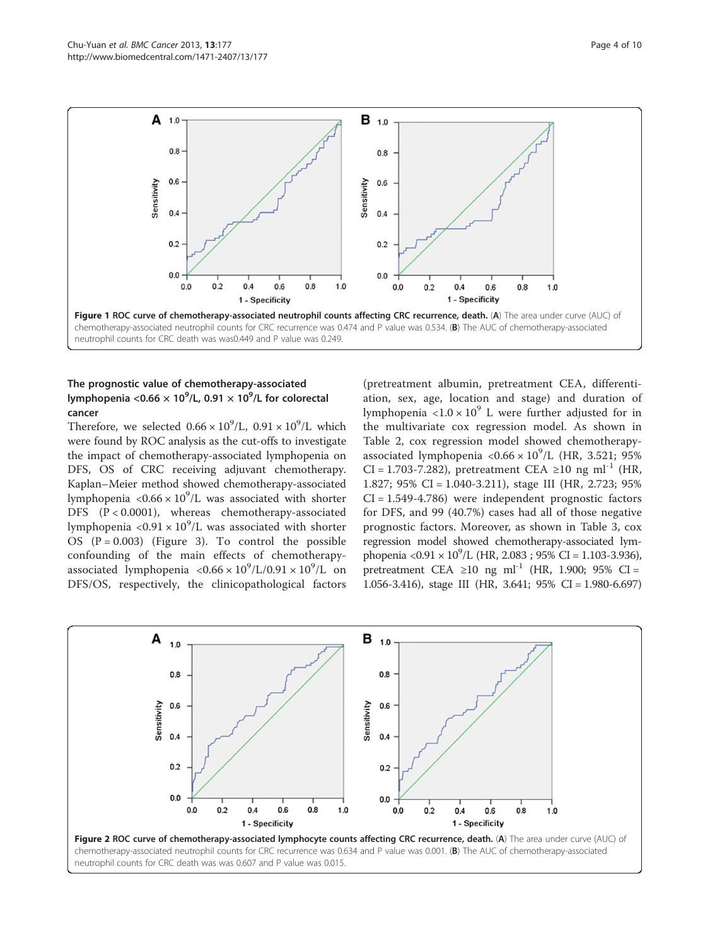<span id="page-3-0"></span>

## The prognostic value of chemotherapy-associated lymphopenia <0.66  $\times$  10<sup>9</sup>/L, 0.91  $\times$  10<sup>9</sup>/L for colorectal cancer

Therefore, we selected  $0.66 \times 10^9$ /L,  $0.91 \times 10^9$ /L which were found by ROC analysis as the cut-offs to investigate the impact of chemotherapy-associated lymphopenia on DFS, OS of CRC receiving adjuvant chemotherapy. Kaplan–Meier method showed chemotherapy-associated lymphopenia < $0.66 \times 10^9$ /L was associated with shorter DFS (P < 0.0001), whereas chemotherapy-associated lymphopenia <0.91  $\times$  10<sup>9</sup>/L was associated with shorter OS  $(P = 0.003)$  (Figure [3](#page-4-0)). To control the possible confounding of the main effects of chemotherapyassociated lymphopenia <0.66  $\times 10^9$ /L/0.91  $\times 10^9$ /L on DFS/OS, respectively, the clinicopathological factors

(pretreatment albumin, pretreatment CEA, differentiation, sex, age, location and stage) and duration of lymphopenia <1.0  $\times$  10<sup>9</sup> L were further adjusted for in the multivariate cox regression model. As shown in Table [2,](#page-5-0) cox regression model showed chemotherapyassociated lymphopenia < $0.66 \times 10^9$ /L (HR, 3.521; 95% CI = 1.703-7.282), pretreatment CEA ≥10 ng ml<sup>-1</sup> (HR, 1.827; 95% CI = 1.040-3.211), stage III (HR, 2.723; 95%  $CI = 1.549 - 4.786$  were independent prognostic factors for DFS, and 99 (40.7%) cases had all of those negative prognostic factors. Moreover, as shown in Table [3](#page-6-0), cox regression model showed chemotherapy-associated lymphopenia <0.91 ×  $10^9$ /L (HR, 2.083 ; 95% CI = 1.103-3.936), pretreatment CEA ≥10 ng ml<sup>-1</sup> (HR, 1.900; 95% CI = 1.056-3.416), stage III (HR, 3.641; 95% CI = 1.980-6.697)

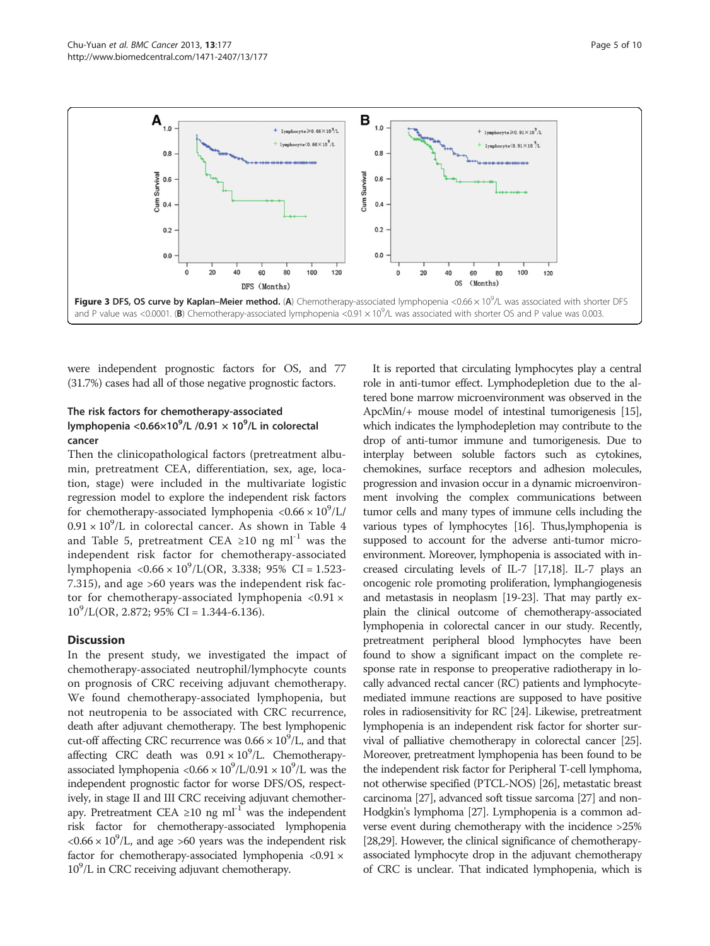<span id="page-4-0"></span>

were independent prognostic factors for OS, and 77 (31.7%) cases had all of those negative prognostic factors.

## The risk factors for chemotherapy-associated lymphopenia <0.66 $\times10^9$ /L /0.91  $\times$  10 $^9$ /L in colorectal cancer

Then the clinicopathological factors (pretreatment albumin, pretreatment CEA, differentiation, sex, age, location, stage) were included in the multivariate logistic regression model to explore the independent risk factors for chemotherapy-associated lymphopenia < $0.66 \times 10^9$ /L/  $0.91 \times 10^9$ /L in colorectal cancer. As shown in Table [4](#page-7-0) and Table [5](#page-7-0), pretreatment CEA ≥10 ng ml<sup>-1</sup> was the independent risk factor for chemotherapy-associated lymphopenia < $0.66 \times 10^9$ /L(OR, 3.338; 95% CI = 1.523-7.315), and age >60 years was the independent risk factor for chemotherapy-associated lymphopenia  $\langle 0.91 \times$  $10^9$ /L(OR, 2.872; 95% CI = 1.344-6.136).

#### **Discussion**

In the present study, we investigated the impact of chemotherapy-associated neutrophil/lymphocyte counts on prognosis of CRC receiving adjuvant chemotherapy. We found chemotherapy-associated lymphopenia, but not neutropenia to be associated with CRC recurrence, death after adjuvant chemotherapy. The best lymphopenic cut-off affecting CRC recurrence was  $0.66 \times 10^9$ /L, and that affecting CRC death was  $0.91 \times 10^9$ /L. Chemotherapyassociated lymphopenia < $0.66 \times 10^9$ /L/0.91  $\times 10^9$ /L was the independent prognostic factor for worse DFS/OS, respectively, in stage II and III CRC receiving adjuvant chemotherapy. Pretreatment CEA ≥10 ng ml<sup>-1</sup> was the independent risk factor for chemotherapy-associated lymphopenia  $<0.66 \times 10^9$ /L, and age >60 years was the independent risk factor for chemotherapy-associated lymphopenia  $\langle 0.91 \times$ 10<sup>9</sup>/L in CRC receiving adjuvant chemotherapy.

It is reported that circulating lymphocytes play a central role in anti-tumor effect. Lymphodepletion due to the altered bone marrow microenvironment was observed in the ApcMin/+ mouse model of intestinal tumorigenesis [\[15](#page-8-0)], which indicates the lymphodepletion may contribute to the drop of anti-tumor immune and tumorigenesis. Due to interplay between soluble factors such as cytokines, chemokines, surface receptors and adhesion molecules, progression and invasion occur in a dynamic microenvironment involving the complex communications between tumor cells and many types of immune cells including the various types of lymphocytes [\[16\]](#page-8-0). Thus,lymphopenia is supposed to account for the adverse anti-tumor microenvironment. Moreover, lymphopenia is associated with increased circulating levels of IL-7 [[17,18\]](#page-8-0). IL-7 plays an oncogenic role promoting proliferation, lymphangiogenesis and metastasis in neoplasm [[19-23\]](#page-8-0). That may partly explain the clinical outcome of chemotherapy-associated lymphopenia in colorectal cancer in our study. Recently, pretreatment peripheral blood lymphocytes have been found to show a significant impact on the complete response rate in response to preoperative radiotherapy in locally advanced rectal cancer (RC) patients and lymphocytemediated immune reactions are supposed to have positive roles in radiosensitivity for RC [\[24\]](#page-8-0). Likewise, pretreatment lymphopenia is an independent risk factor for shorter survival of palliative chemotherapy in colorectal cancer [\[25](#page-8-0)]. Moreover, pretreatment lymphopenia has been found to be the independent risk factor for Peripheral T-cell lymphoma, not otherwise specified (PTCL-NOS) [\[26\]](#page-8-0), metastatic breast carcinoma [\[27\]](#page-8-0), advanced soft tissue sarcoma [\[27\]](#page-8-0) and non-Hodgkin's lymphoma [[27](#page-8-0)]. Lymphopenia is a common adverse event during chemotherapy with the incidence >25% [[28,29\]](#page-8-0). However, the clinical significance of chemotherapyassociated lymphocyte drop in the adjuvant chemotherapy of CRC is unclear. That indicated lymphopenia, which is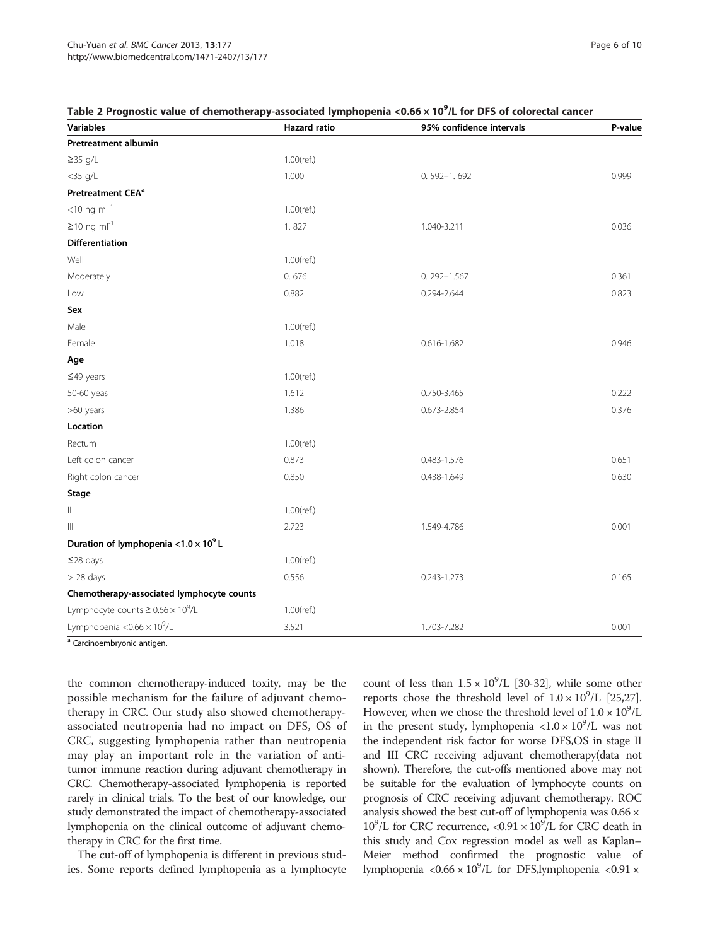| <b>Variables</b>                              | Hazard ratio  | 95% confidence intervals | P-value |
|-----------------------------------------------|---------------|--------------------------|---------|
| <b>Pretreatment albumin</b>                   |               |                          |         |
| $\geq$ 35 g/L                                 | $1.00$ (ref.) |                          |         |
| $<$ 35 g/L                                    | 1.000         | $0.592 - 1.692$          | 0.999   |
| Pretreatment CEA <sup>a</sup>                 |               |                          |         |
| $<$ 10 ng m $I^{-1}$                          | $1.00$ (ref.) |                          |         |
| $≥10$ ng ml <sup>-1</sup>                     | 1.827         | 1.040-3.211              | 0.036   |
| <b>Differentiation</b>                        |               |                          |         |
| Well                                          | $1.00$ (ref.) |                          |         |
| Moderately                                    | 0.676         | $0.292 - 1.567$          | 0.361   |
| Low                                           | 0.882         | 0.294-2.644              | 0.823   |
| Sex                                           |               |                          |         |
| Male                                          | $1.00$ (ref.) |                          |         |
| Female                                        | 1.018         | 0.616-1.682              | 0.946   |
| Age                                           |               |                          |         |
| $≤49$ years                                   | $1.00$ (ref.) |                          |         |
| 50-60 yeas                                    | 1.612         | 0.750-3.465              | 0.222   |
| >60 years                                     | 1.386         | 0.673-2.854              | 0.376   |
| Location                                      |               |                          |         |
| Rectum                                        | $1.00$ (ref.) |                          |         |
| Left colon cancer                             | 0.873         | 0.483-1.576              | 0.651   |
| Right colon cancer                            | 0.850         | 0.438-1.649              | 0.630   |
| <b>Stage</b>                                  |               |                          |         |
| $\parallel$                                   | $1.00$ (ref.) |                          |         |
| $\  \ $                                       | 2.723         | 1.549-4.786              | 0.001   |
| Duration of lymphopenia < $1.0 \times 10^9$ L |               |                          |         |
| ≤28 days                                      | $1.00$ (ref.) |                          |         |
| $> 28$ days                                   | 0.556         | $0.243 - 1.273$          | 0.165   |
| Chemotherapy-associated lymphocyte counts     |               |                          |         |
| Lymphocyte counts $\geq 0.66 \times 10^9$ /L  | $1.00$ (ref.) |                          |         |
| Lymphopenia < $0.66 \times 10^9$ /L           | 3.521         | 1.703-7.282              | 0.001   |

## <span id="page-5-0"></span>Table 2 Prognostic value of chemotherapy-associated lymphopenia <0.66  $\times$  10 $^9$ /L for DFS of colorectal cancer

<sup>a</sup> Carcinoembryonic antigen.

the common chemotherapy-induced toxity, may be the possible mechanism for the failure of adjuvant chemotherapy in CRC. Our study also showed chemotherapyassociated neutropenia had no impact on DFS, OS of CRC, suggesting lymphopenia rather than neutropenia may play an important role in the variation of antitumor immune reaction during adjuvant chemotherapy in CRC. Chemotherapy-associated lymphopenia is reported rarely in clinical trials. To the best of our knowledge, our study demonstrated the impact of chemotherapy-associated lymphopenia on the clinical outcome of adjuvant chemotherapy in CRC for the first time.

The cut-off of lymphopenia is different in previous studies. Some reports defined lymphopenia as a lymphocyte count of less than  $1.5 \times 10^9$ /L [[30](#page-9-0)-[32](#page-9-0)], while some other reports chose the threshold level of  $1.0 \times 10^9$ /L [\[25,27](#page-8-0)]. However, when we chose the threshold level of  $1.0 \times 10^9$ /L in the present study, lymphopenia <1.0  $\times$  10<sup>9</sup>/L was not the independent risk factor for worse DFS,OS in stage II and III CRC receiving adjuvant chemotherapy(data not shown). Therefore, the cut-offs mentioned above may not be suitable for the evaluation of lymphocyte counts on prognosis of CRC receiving adjuvant chemotherapy. ROC analysis showed the best cut-off of lymphopenia was 0.66 ×  $10^9$ /L for CRC recurrence, <0.91 ×  $10^9$ /L for CRC death in this study and Cox regression model as well as Kaplan– Meier method confirmed the prognostic value of lymphopenia <0.66 ×  $10^9$ /L for DFS,lymphopenia <0.91 ×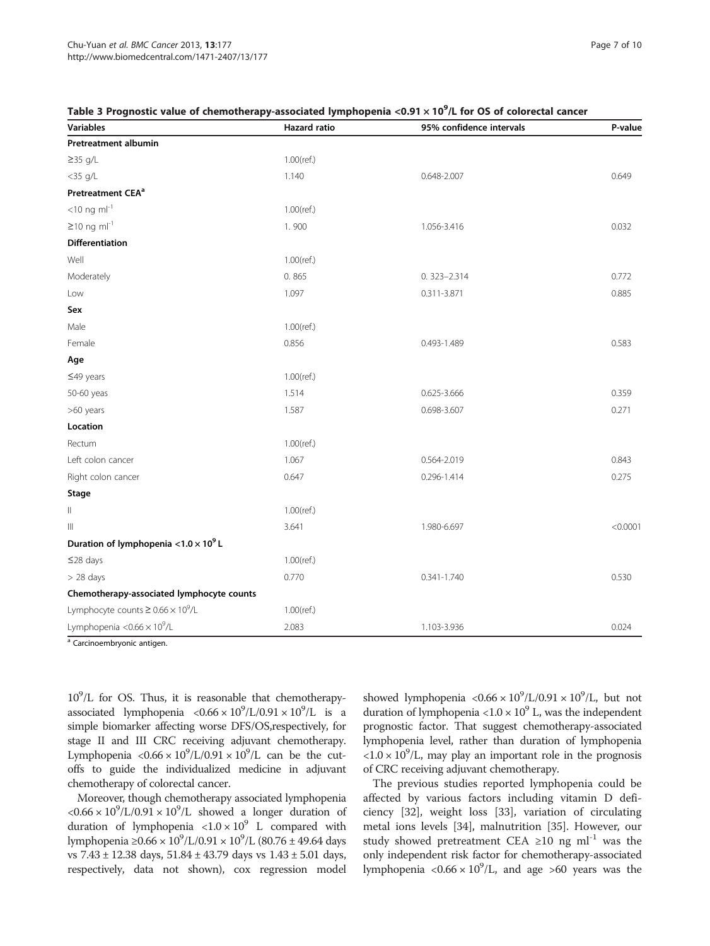| <b>Variables</b>                              | <b>Hazard</b> ratio | 95% confidence intervals | P-value  |
|-----------------------------------------------|---------------------|--------------------------|----------|
| <b>Pretreatment albumin</b>                   |                     |                          |          |
| $\geq$ 35 g/L                                 | $1.00$ (ref.)       |                          |          |
| $<$ 35 g/L                                    | 1.140               | 0.648-2.007              | 0.649    |
| Pretreatment CEA <sup>a</sup>                 |                     |                          |          |
| $<$ 10 ng m $I^{-1}$                          | $1.00$ (ref.)       |                          |          |
| $\geq$ 10 ng ml <sup>-1</sup>                 | 1.900               | 1.056-3.416              | 0.032    |
| <b>Differentiation</b>                        |                     |                          |          |
| Well                                          | $1.00$ (ref.)       |                          |          |
| Moderately                                    | 0.865               | $0.323 - 2.314$          | 0.772    |
| Low                                           | 1.097               | 0.311-3.871              | 0.885    |
| Sex                                           |                     |                          |          |
| Male                                          | $1.00$ (ref.)       |                          |          |
| Female                                        | 0.856               | 0.493-1.489              | 0.583    |
| Age                                           |                     |                          |          |
| $≤49$ years                                   | $1.00$ (ref.)       |                          |          |
| 50-60 yeas                                    | 1.514               | 0.625-3.666              | 0.359    |
| >60 years                                     | 1.587               | 0.698-3.607              | 0.271    |
| Location                                      |                     |                          |          |
| Rectum                                        | $1.00$ (ref.)       |                          |          |
| Left colon cancer                             | 1.067               | 0.564-2.019              | 0.843    |
| Right colon cancer                            | 0.647               | 0.296-1.414              | 0.275    |
| Stage                                         |                     |                          |          |
| Ш                                             | $1.00$ (ref.)       |                          |          |
| Ш                                             | 3.641               | 1.980-6.697              | < 0.0001 |
| Duration of lymphopenia < $1.0 \times 10^9$ L |                     |                          |          |
| ≤28 days                                      | $1.00$ (ref.)       |                          |          |
| $> 28$ days                                   | 0.770               | 0.341-1.740              | 0.530    |
| Chemotherapy-associated lymphocyte counts     |                     |                          |          |
| Lymphocyte counts $\geq 0.66 \times 10^9$ /L  | $1.00$ (ref.)       |                          |          |
| Lymphopenia < $0.66 \times 10^9$ /L           | 2.083               | 1.103-3.936              | 0.024    |

## <span id="page-6-0"></span>Table 3 Prognostic value of chemotherapy-associated lymphopenia <0.91  $\times$  10 $^9$ /L for OS of colorectal cancer

<sup>a</sup> Carcinoembryonic antigen.

 $10^9$ /L for OS. Thus, it is reasonable that chemotherapyassociated lymphopenia  $< 0.66 \times 10^9$ /L/0.91  $\times 10^9$ /L is a simple biomarker affecting worse DFS/OS,respectively, for stage II and III CRC receiving adjuvant chemotherapy. Lymphopenia  $\langle 0.66 \times 10^9 \rangle$ L/0.91  $\times 10^9$ /L can be the cutoffs to guide the individualized medicine in adjuvant chemotherapy of colorectal cancer.

Moreover, though chemotherapy associated lymphopenia  $<0.66 \times 10^{9}/L/0.91 \times 10^{9}/L$  showed a longer duration of duration of lymphopenia  $\langle 1.0 \times 10^9 \text{ L} \rangle$  compared with lymphopenia ≥0.66 ×  $10^9$ /L/0.91 ×  $10^9$ /L (80.76 ± 49.64 days vs 7.43 ± 12.38 days, 51.84 ± 43.79 days vs 1.43 ± 5.01 days, respectively, data not shown), cox regression model

showed lymphopenia <0.66  $\times 10^9$ /L/0.91  $\times 10^9$ /L, but not duration of lymphopenia <1.0  $\times$  10<sup>9</sup> L, was the independent prognostic factor. That suggest chemotherapy-associated lymphopenia level, rather than duration of lymphopenia  $\langle 1.0 \times 10^9 \rangle$ L, may play an important role in the prognosis of CRC receiving adjuvant chemotherapy.

The previous studies reported lymphopenia could be affected by various factors including vitamin D deficiency [[32](#page-9-0)], weight loss [\[33](#page-9-0)], variation of circulating metal ions levels [\[34](#page-9-0)], malnutrition [\[35](#page-9-0)]. However, our study showed pretreatment CEA ≥10 ng ml<sup>-1</sup> was the only independent risk factor for chemotherapy-associated lymphopenia < $0.66 \times 10^9$ /L, and age >60 years was the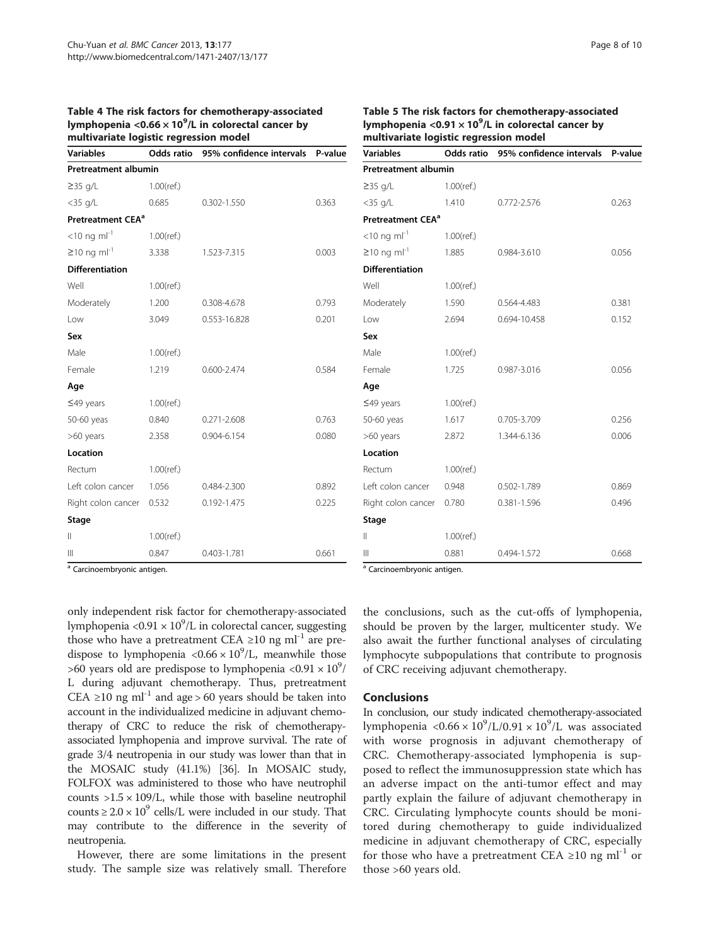#### <span id="page-7-0"></span>Table 4 The risk factors for chemotherapy-associated lymphopenia <0.66  $\times$  10 $^{9}$ /L in colorectal cancer by multivariate logistic regression model

| <b>Variables</b>              |               | Odds ratio 95% confidence intervals P-value |       |
|-------------------------------|---------------|---------------------------------------------|-------|
| <b>Pretreatment albumin</b>   |               |                                             |       |
| $\geq$ 35 g/L                 | $1.00$ (ref.) |                                             |       |
| $<$ 35 g/L                    | 0.685         | $0.302 - 1.550$                             | 0.363 |
| Pretreatment CEA <sup>a</sup> |               |                                             |       |
| $<$ 10 ng m $I^{-1}$          | $1.00$ (ref.) |                                             |       |
| $≥10$ ng ml <sup>-1</sup>     | 3.338         | 1.523-7.315                                 | 0.003 |
| <b>Differentiation</b>        |               |                                             |       |
| Well                          | $1.00$ (ref.) |                                             |       |
| Moderately                    | 1.200         | 0.308-4.678                                 | 0.793 |
| Low                           | 3.049         | 0.553-16.828                                | 0.201 |
| Sex                           |               |                                             |       |
| Male                          | $1.00$ (ref.) |                                             |       |
| Female                        | 1.219         | 0.600-2.474                                 | 0.584 |
| Age                           |               |                                             |       |
| $\leq$ 49 years               | $1.00$ (ref.) |                                             |       |
| 50-60 yeas                    | 0.840         | $0.271 - 2.608$                             | 0.763 |
| >60 years                     | 2.358         | 0.904-6.154                                 | 0.080 |
| Location                      |               |                                             |       |
| Rectum                        | $1.00$ (ref.) |                                             |       |
| Left colon cancer             | 1.056         | 0.484-2.300                                 | 0.892 |
| Right colon cancer            | 0.532         | 0.192-1.475                                 | 0.225 |
| Stage                         |               |                                             |       |
| $\parallel$                   | $1.00$ (ref.) |                                             |       |
| $\mathbb{H}$                  | 0.847         | 0.403-1.781                                 | 0.661 |

## Table 5 The risk factors for chemotherapy-associated lymphopenia <0.91  $\times$  10<sup>9</sup>/L in colorectal cancer by multivariate logistic regression model

| <b>Variables</b>              | Odds ratio    | 95% confidence intervals | P-value |
|-------------------------------|---------------|--------------------------|---------|
| <b>Pretreatment albumin</b>   |               |                          |         |
| $\geq$ 35 g/L                 | $1.00$ (ref.) |                          |         |
| $<$ 35 g/L                    | 1.410         | 0.772-2.576              | 0.263   |
| Pretreatment CEA <sup>a</sup> |               |                          |         |
| $<$ 10 ng m $I^{-1}$          | $1.00$ (ref.) |                          |         |
| $\geq$ 10 ng ml <sup>-1</sup> | 1.885         | 0.984-3.610              | 0.056   |
| <b>Differentiation</b>        |               |                          |         |
| Well                          | $1.00$ (ref.) |                          |         |
| Moderately                    | 1.590         | 0.564-4.483              | 0.381   |
| Low                           | 2.694         | 0.694-10.458             | 0.152   |
| Sex                           |               |                          |         |
| Male                          | $1.00$ (ref.) |                          |         |
| Female                        | 1.725         | 0.987-3.016              | 0.056   |
| Age                           |               |                          |         |
| $≤49$ years                   | $1.00$ (ref.) |                          |         |
| 50-60 yeas                    | 1.617         | 0.705-3.709              | 0.256   |
| >60 years                     | 2.872         | 1.344-6.136              | 0.006   |
| Location                      |               |                          |         |
| Rectum                        | $1.00$ (ref.) |                          |         |
| Left colon cancer             | 0.948         | 0.502-1.789              | 0.869   |
| Right colon cancer            | 0.780         | 0.381-1.596              | 0.496   |
| Stage                         |               |                          |         |
| Ш                             | $1.00$ (ref.) |                          |         |
| Ш                             | 0.881         | 0.494-1.572              | 0.668   |

Carcinoembryonic antigen.

only independent risk factor for chemotherapy-associated lymphopenia <0.91  $\times$  10<sup>9</sup>/L in colorectal cancer, suggesting those who have a pretreatment CEA  $\geq$ 10 ng ml<sup>-1</sup> are predispose to lymphopenia < $0.66 \times 10^9$ /L, meanwhile those >60 years old are predispose to lymphopenia <0.91  $\times$  10<sup>9</sup>/ L during adjuvant chemotherapy. Thus, pretreatment CEA ≥10 ng ml<sup>-1</sup> and age > 60 years should be taken into account in the individualized medicine in adjuvant chemotherapy of CRC to reduce the risk of chemotherapyassociated lymphopenia and improve survival. The rate of grade 3/4 neutropenia in our study was lower than that in the MOSAIC study (41.1%) [[36](#page-9-0)]. In MOSAIC study, FOLFOX was administered to those who have neutrophil counts  $>1.5 \times 109$ /L, while those with baseline neutrophil counts  $\geq 2.0 \times 10^9$  cells/L were included in our study. That may contribute to the difference in the severity of neutropenia.

However, there are some limitations in the present study. The sample size was relatively small. Therefore <sup>a</sup> Carcinoembryonic antigen.

the conclusions, such as the cut-offs of lymphopenia, should be proven by the larger, multicenter study. We also await the further functional analyses of circulating lymphocyte subpopulations that contribute to prognosis of CRC receiving adjuvant chemotherapy.

## Conclusions

In conclusion, our study indicated chemotherapy-associated lymphopenia < $0.66 \times 10^9$ /L/0.91 × 10<sup>9</sup>/L was associated with worse prognosis in adjuvant chemotherapy of CRC. Chemotherapy-associated lymphopenia is supposed to reflect the immunosuppression state which has an adverse impact on the anti-tumor effect and may partly explain the failure of adjuvant chemotherapy in CRC. Circulating lymphocyte counts should be monitored during chemotherapy to guide individualized medicine in adjuvant chemotherapy of CRC, especially for those who have a pretreatment CEA  $\geq$ 10 ng ml<sup>-1</sup> or those >60 years old.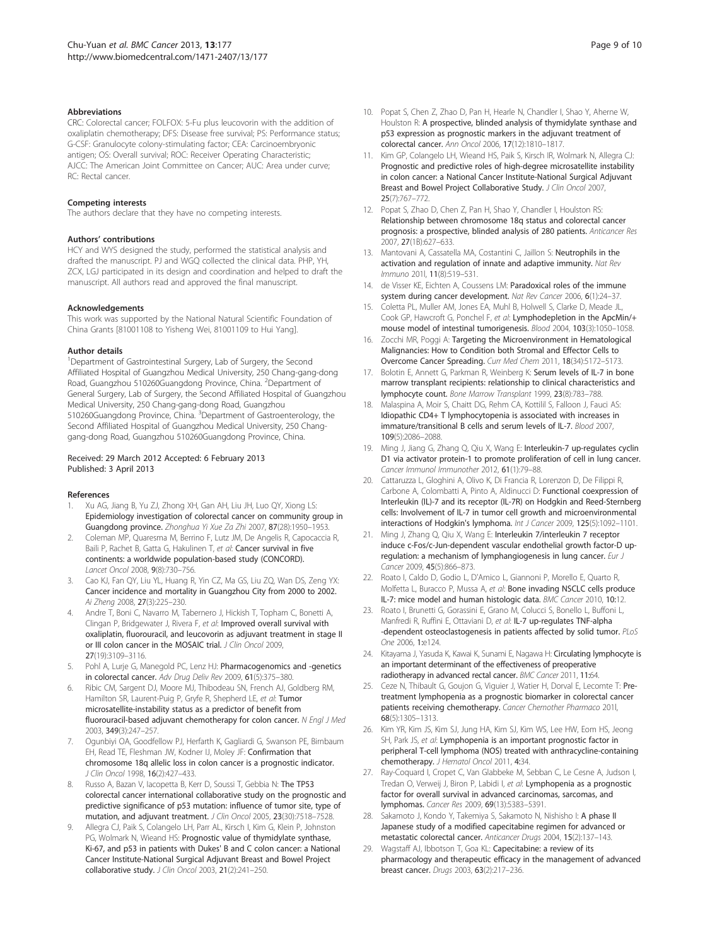#### <span id="page-8-0"></span>Abbreviations

CRC: Colorectal cancer; FOLFOX: 5-Fu plus leucovorin with the addition of oxaliplatin chemotherapy; DFS: Disease free survival; PS: Performance status; G-CSF: Granulocyte colony-stimulating factor; CEA: Carcinoembryonic antigen; OS: Overall survival; ROC: Receiver Operating Characteristic; AJCC: The American Joint Committee on Cancer; AUC: Area under curve; RC: Rectal cancer.

#### Competing interests

The authors declare that they have no competing interests.

#### Authors' contributions

HCY and WYS designed the study, performed the statistical analysis and drafted the manuscript. PJ and WGQ collected the clinical data. PHP, YH, ZCX, LGJ participated in its design and coordination and helped to draft the manuscript. All authors read and approved the final manuscript.

#### Acknowledgements

This work was supported by the National Natural Scientific Foundation of China Grants [81001108 to Yisheng Wei, 81001109 to Hui Yang].

#### Author details

<sup>1</sup>Department of Gastrointestinal Surgery, Lab of Surgery, the Second Affiliated Hospital of Guangzhou Medical University, 250 Chang-gang-dong Road, Guangzhou 510260Guangdong Province, China. <sup>2</sup>Department of General Surgery, Lab of Surgery, the Second Affiliated Hospital of Guangzhou Medical University, 250 Chang-gang-dong Road, Guangzhou 510260Guangdong Province, China. <sup>3</sup>Department of Gastroenterology, the Second Affiliated Hospital of Guangzhou Medical University, 250 Changgang-dong Road, Guangzhou 510260Guangdong Province, China.

#### Received: 29 March 2012 Accepted: 6 February 2013 Published: 3 April 2013

#### References

- 1. Xu AG, Jiang B, Yu ZJ, Zhong XH, Gan AH, Liu JH, Luo QY, Xiong LS: Epidemiology investigation of colorectal cancer on community group in Guangdong province. Zhonghua Yi Xue Za Zhi 2007, 87(28):1950–1953.
- 2. Coleman MP, Quaresma M, Berrino F, Lutz JM, De Angelis R, Capocaccia R, Baili P, Rachet B, Gatta G, Hakulinen T, et al: Cancer survival in five continents: a worldwide population-based study (CONCORD). Lancet Oncol 2008, 9(8):730–756.
- Cao KJ, Fan QY, Liu YL, Huang R, Yin CZ, Ma GS, Liu ZQ, Wan DS, Zeng YX: Cancer incidence and mortality in Guangzhou City from 2000 to 2002. Ai Zheng 2008, 27(3):225–230.
- 4. Andre T, Boni C, Navarro M, Tabernero J, Hickish T, Topham C, Bonetti A, Clingan P, Bridgewater J, Rivera F, et al: Improved overall survival with oxaliplatin, fluorouracil, and leucovorin as adjuvant treatment in stage II or III colon cancer in the MOSAIC trial. J Clin Oncol 2009, 27(19):3109–3116.
- Pohl A, Lurje G, Manegold PC, Lenz HJ: Pharmacogenomics and -genetics in colorectal cancer. Adv Drug Deliv Rev 2009, 61(5):375–380.
- 6. Ribic CM, Sargent DJ, Moore MJ, Thibodeau SN, French AJ, Goldberg RM, Hamilton SR, Laurent-Puig P, Gryfe R, Shepherd LE, et al: Tumor microsatellite-instability status as a predictor of benefit from fluorouracil-based adjuvant chemotherapy for colon cancer. N Engl J Med 2003, 349(3):247–257.
- 7. Ogunbiyi OA, Goodfellow PJ, Herfarth K, Gagliardi G, Swanson PE, Birnbaum EH, Read TE, Fleshman JW, Kodner IJ, Moley JF: Confirmation that chromosome 18q allelic loss in colon cancer is a prognostic indicator. J Clin Oncol 1998, 16(2):427–433.
- 8. Russo A, Bazan V, Iacopetta B, Kerr D, Soussi T, Gebbia N: The TP53 colorectal cancer international collaborative study on the prognostic and predictive significance of p53 mutation: influence of tumor site, type of mutation, and adjuvant treatment. J Clin Oncol 2005, 23(30):7518–7528.
- Allegra CJ, Paik S, Colangelo LH, Parr AL, Kirsch I, Kim G, Klein P, Johnston PG, Wolmark N, Wieand HS: Prognostic value of thymidylate synthase, Ki-67, and p53 in patients with Dukes' B and C colon cancer: a National Cancer Institute-National Surgical Adjuvant Breast and Bowel Project collaborative study. J Clin Oncol 2003, 21(2):241-250.
- 10. Popat S, Chen Z, Zhao D, Pan H, Hearle N, Chandler I, Shao Y, Aherne W, Houlston R: A prospective, blinded analysis of thymidylate synthase and p53 expression as prognostic markers in the adjuvant treatment of colorectal cancer. Ann Oncol 2006, 17(12):1810–1817.
- 11. Kim GP, Colangelo LH, Wieand HS, Paik S, Kirsch IR, Wolmark N, Allegra CJ: Prognostic and predictive roles of high-degree microsatellite instability in colon cancer: a National Cancer Institute-National Surgical Adjuvant Breast and Bowel Project Collaborative Study. J Clin Oncol 2007, 25(7):767–772.
- 12. Popat S, Zhao D, Chen Z, Pan H, Shao Y, Chandler I, Houlston RS: Relationship between chromosome 18q status and colorectal cancer prognosis: a prospective, blinded analysis of 280 patients. Anticancer Res 2007, 27(1B):627–633.
- 13. Mantovani A, Cassatella MA, Costantini C, Jaillon S: Neutrophils in the activation and regulation of innate and adaptive immunity. Nat Rev Immuno 201l, 11(8):519–531.
- 14. de Visser KE, Eichten A, Coussens LM: Paradoxical roles of the immune system during cancer development. Nat Rev Cancer 2006, 6(1):24–37.
- 15. Coletta PL, Muller AM, Jones EA, Muhl B, Holwell S, Clarke D, Meade JL, Cook GP, Hawcroft G, Ponchel F, et al: Lymphodepletion in the ApcMin/+ mouse model of intestinal tumorigenesis. Blood 2004, 103(3):1050–1058.
- Zocchi MR, Poggi A: Targeting the Microenvironment in Hematological Malignancies: How to Condition both Stromal and Effector Cells to Overcome Cancer Spreading. Curr Med Chem 2011, 18(34):5172–5173.
- 17. Bolotin E, Annett G, Parkman R, Weinberg K: Serum levels of IL-7 in bone marrow transplant recipients: relationship to clinical characteristics and lymphocyte count. Bone Marrow Transplant 1999, 23(8):783–788.
- 18. Malaspina A, Moir S, Chaitt DG, Rehm CA, Kottilil S, Falloon J, Fauci AS: Idiopathic CD4+ T lymphocytopenia is associated with increases in immature/transitional B cells and serum levels of IL-7. Blood 2007, 109(5):2086–2088.
- 19. Ming J, Jiang G, Zhang Q, Qiu X, Wang E: Interleukin-7 up-regulates cyclin D1 via activator protein-1 to promote proliferation of cell in lung cancer. Cancer Immunol Immunother 2012, 61(1):79–88.
- 20. Cattaruzza L, Gloghini A, Olivo K, Di Francia R, Lorenzon D, De Filippi R, Carbone A, Colombatti A, Pinto A, Aldinucci D: Functional coexpression of Interleukin (IL)-7 and its receptor (IL-7R) on Hodgkin and Reed-Sternberg cells: Involvement of IL-7 in tumor cell growth and microenvironmental interactions of Hodgkin's lymphoma. Int J Cancer 2009, 125(5):1092–1101.
- 21. Ming J, Zhang Q, Qiu X, Wang E: Interleukin 7/interleukin 7 receptor induce c-Fos/c-Jun-dependent vascular endothelial growth factor-D upregulation: a mechanism of lymphangiogenesis in lung cancer. Eur J Cancer 2009, 45(5):866-873.
- 22. Roato I, Caldo D, Godio L, D'Amico L, Giannoni P, Morello E, Quarto R, Molfetta L, Buracco P, Mussa A, et al: Bone invading NSCLC cells produce IL-7: mice model and human histologic data. BMC Cancer 2010, 10:12.
- 23. Roato I, Brunetti G, Gorassini E, Grano M, Colucci S, Bonello L, Buffoni L, Manfredi R, Ruffini E, Ottaviani D, et al: IL-7 up-regulates TNF-alpha -dependent osteoclastogenesis in patients affected by solid tumor. PLoS One 2006, 1:e124.
- 24. Kitayama J, Yasuda K, Kawai K, Sunami E, Nagawa H: Circulating lymphocyte is an important determinant of the effectiveness of preoperative radiotherapy in advanced rectal cancer. BMC Cancer 2011, 11:64.
- 25. Ceze N, Thibault G, Goujon G, Viguier J, Watier H, Dorval E, Lecomte T: Pretreatment lymphopenia as a prognostic biomarker in colorectal cancer patients receiving chemotherapy. Cancer Chemother Pharmaco 2011, 68(5):1305–1313.
- 26. Kim YR, Kim JS, Kim SJ, Jung HA, Kim SJ, Kim WS, Lee HW, Eom HS, Jeong SH, Park JS, et al: Lymphopenia is an important prognostic factor in peripheral T-cell lymphoma (NOS) treated with anthracycline-containing chemotherapy. J Hematol Oncol 2011, 4:34.
- 27. Ray-Coquard I, Cropet C, Van Glabbeke M, Sebban C, Le Cesne A, Judson I, Tredan O, Verweij J, Biron P, Labidi I, et al: Lymphopenia as a prognostic factor for overall survival in advanced carcinomas, sarcomas, and lymphomas. Cancer Res 2009, 69(13):5383–5391.
- 28. Sakamoto J, Kondo Y, Takemiya S, Sakamoto N, Nishisho I: A phase II Japanese study of a modified capecitabine regimen for advanced or metastatic colorectal cancer. Anticancer Drugs 2004, 15(2):137–143.
- 29. Wagstaff AJ, Ibbotson T, Goa KL: Capecitabine: a review of its pharmacology and therapeutic efficacy in the management of advanced breast cancer. Drugs 2003, 63(2):217–236.